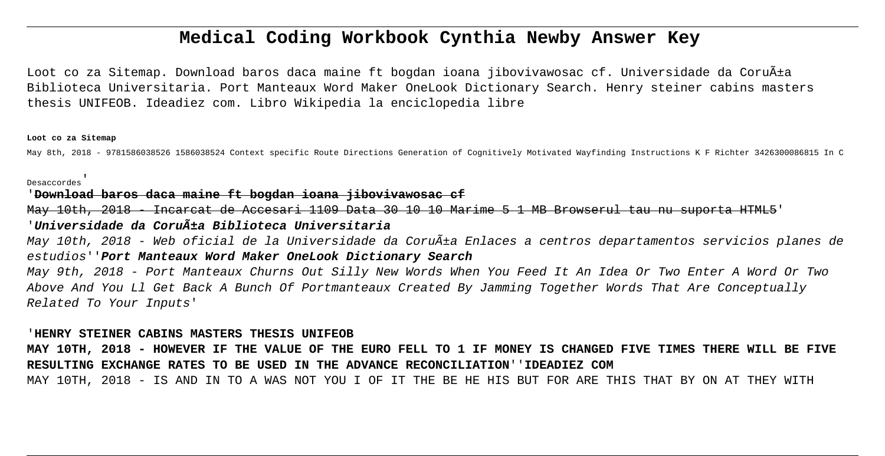# **Medical Coding Workbook Cynthia Newby Answer Key**

Loot co za Sitemap. Download baros daca maine ft bogdan ioana jibovivawosac cf. Universidade da Coruña Biblioteca Universitaria. Port Manteaux Word Maker OneLook Dictionary Search. Henry steiner cabins masters thesis UNIFEOB. Ideadiez com. Libro Wikipedia la enciclopedia libre

#### **Loot co za Sitemap**

May 8th, 2018 - 9781586038526 1586038524 Context specific Route Directions Generation of Cognitively Motivated Wayfinding Instructions K F Richter 3426300086815 In C

## Desaccordes'

### '**Download baros daca maine ft bogdan ioana jibovivawosac cf**

May 10th, 2018 - Incarcat de Accesari 1109 Data 30 10 10 Marime 5 1 MB Browserul tau nu suporta 'Universidade da Coru<del>Ãi</del>a Biblioteca Universitaria

May 10th, 2018 - Web oficial de la Universidade da Coruña Enlaces a centros departamentos servicios planes de estudios''**Port Manteaux Word Maker OneLook Dictionary Search**

May 9th, 2018 - Port Manteaux Churns Out Silly New Words When You Feed It An Idea Or Two Enter A Word Or Two Above And You Ll Get Back A Bunch Of Portmanteaux Created By Jamming Together Words That Are Conceptually Related To Your Inputs'

#### '**HENRY STEINER CABINS MASTERS THESIS UNIFEOB**

**MAY 10TH, 2018 - HOWEVER IF THE VALUE OF THE EURO FELL TO 1 IF MONEY IS CHANGED FIVE TIMES THERE WILL BE FIVE RESULTING EXCHANGE RATES TO BE USED IN THE ADVANCE RECONCILIATION**''**IDEADIEZ COM** MAY 10TH, 2018 - IS AND IN TO A WAS NOT YOU I OF IT THE BE HE HIS BUT FOR ARE THIS THAT BY ON AT THEY WITH